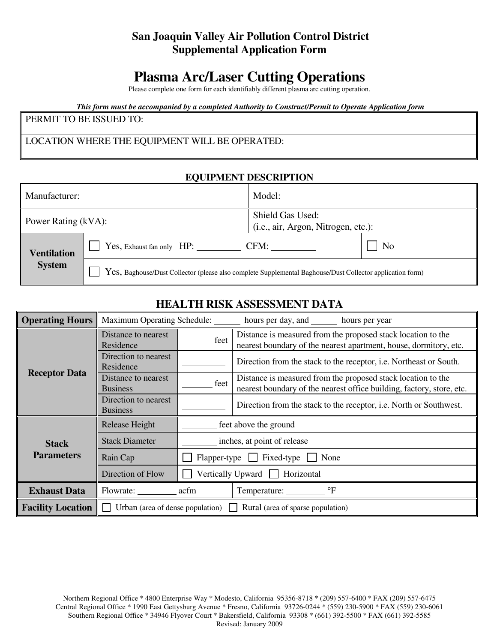# **San Joaquin Valley Air Pollution Control District Supplemental Application Form**

# **Plasma Arc/Laser Cutting Operations**

Please complete one form for each identifiably different plasma arc cutting operation.

*This form must be accompanied by a completed Authority to Construct/Permit to Operate Application form*

#### PERMIT TO BE ISSUED TO:

## LOCATION WHERE THE EQUIPMENT WILL BE OPERATED:

#### **EQUIPMENT DESCRIPTION**

| Manufacturer:                       |                                                                                                           | Model:                                                  |                |  |
|-------------------------------------|-----------------------------------------------------------------------------------------------------------|---------------------------------------------------------|----------------|--|
| Power Rating (kVA):                 |                                                                                                           | Shield Gas Used:<br>(i.e., air, Argon, Nitrogen, etc.): |                |  |
| <b>Ventilation</b><br><b>System</b> | Yes, Exhaust fan only HP:                                                                                 | CFM:                                                    | N <sub>0</sub> |  |
|                                     | Yes, Baghouse/Dust Collector (please also complete Supplemental Baghouse/Dust Collector application form) |                                                         |                |  |

## **HEALTH RISK ASSESSMENT DATA**

| <b>Operating Hours</b>   | <b>Maximum Operating Schedule:</b><br>hours per day, and ________ hours per year |                                              |                                                                                                                                       |  |  |
|--------------------------|----------------------------------------------------------------------------------|----------------------------------------------|---------------------------------------------------------------------------------------------------------------------------------------|--|--|
|                          | Distance to nearest<br>Residence                                                 | feet                                         | Distance is measured from the proposed stack location to the<br>nearest boundary of the nearest apartment, house, dormitory, etc.     |  |  |
|                          | Direction to nearest<br>Residence                                                |                                              | Direction from the stack to the receptor, i.e. Northeast or South.                                                                    |  |  |
| <b>Receptor Data</b>     | Distance to nearest<br><b>Business</b>                                           | feet                                         | Distance is measured from the proposed stack location to the<br>nearest boundary of the nearest office building, factory, store, etc. |  |  |
|                          | Direction to nearest<br><b>Business</b>                                          |                                              | Direction from the stack to the receptor, i.e. North or Southwest.                                                                    |  |  |
| <b>Stack</b>             | Release Height                                                                   | feet above the ground                        |                                                                                                                                       |  |  |
|                          | <b>Stack Diameter</b>                                                            | inches, at point of release                  |                                                                                                                                       |  |  |
| <b>Parameters</b>        | Rain Cap                                                                         | $Flapper-type$ $\Box$ Fixed-type $\Box$ None |                                                                                                                                       |  |  |
|                          | Direction of Flow                                                                | Vertically Upward Horizontal                 |                                                                                                                                       |  |  |
| <b>Exhaust Data</b>      | Flowrate:                                                                        | $\mathrm{P}$<br>acfm<br>Temperature:         |                                                                                                                                       |  |  |
| <b>Facility Location</b> | Urban (area of dense population) $\Box$<br>Rural (area of sparse population)     |                                              |                                                                                                                                       |  |  |